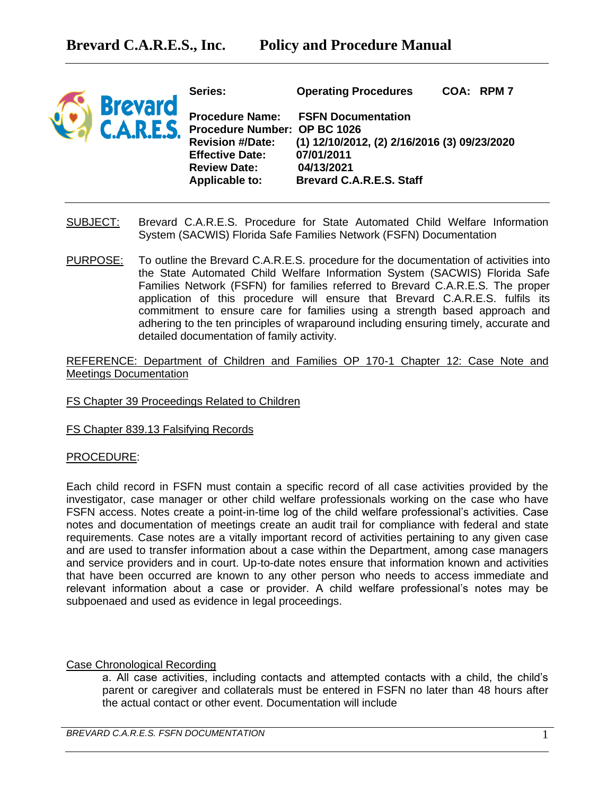

**Series: Operating Procedures COA: RPM 7 Procedure Name: FSFN Documentation Procedure Number: OP BC 1026 Revision #/Date: (1) 12/10/2012, (2) 2/16/2016 (3) 09/23/2020 Effective Date: 07/01/2011 Review Date: 04/13/2021 Applicable to: Brevard C.A.R.E.S. Staff** 

- SUBJECT: Brevard C.A.R.E.S. Procedure for State Automated Child Welfare Information System (SACWIS) Florida Safe Families Network (FSFN) Documentation
- PURPOSE: To outline the Brevard C.A.R.E.S. procedure for the documentation of activities into the State Automated Child Welfare Information System (SACWIS) Florida Safe Families Network (FSFN) for families referred to Brevard C.A.R.E.S. The proper application of this procedure will ensure that Brevard C.A.R.E.S. fulfils its commitment to ensure care for families using a strength based approach and adhering to the ten principles of wraparound including ensuring timely, accurate and detailed documentation of family activity.

REFERENCE: Department of Children and Families OP 170-1 Chapter 12: Case Note and Meetings Documentation

## FS Chapter 39 Proceedings Related to Children

FS Chapter 839.13 Falsifying Records

## PROCEDURE:

Each child record in FSFN must contain a specific record of all case activities provided by the investigator, case manager or other child welfare professionals working on the case who have FSFN access. Notes create a point-in-time log of the child welfare professional's activities. Case notes and documentation of meetings create an audit trail for compliance with federal and state requirements. Case notes are a vitally important record of activities pertaining to any given case and are used to transfer information about a case within the Department, among case managers and service providers and in court. Up-to-date notes ensure that information known and activities that have been occurred are known to any other person who needs to access immediate and relevant information about a case or provider. A child welfare professional's notes may be subpoenaed and used as evidence in legal proceedings.

## Case Chronological Recording

a. All case activities, including contacts and attempted contacts with a child, the child's parent or caregiver and collaterals must be entered in FSFN no later than 48 hours after the actual contact or other event. Documentation will include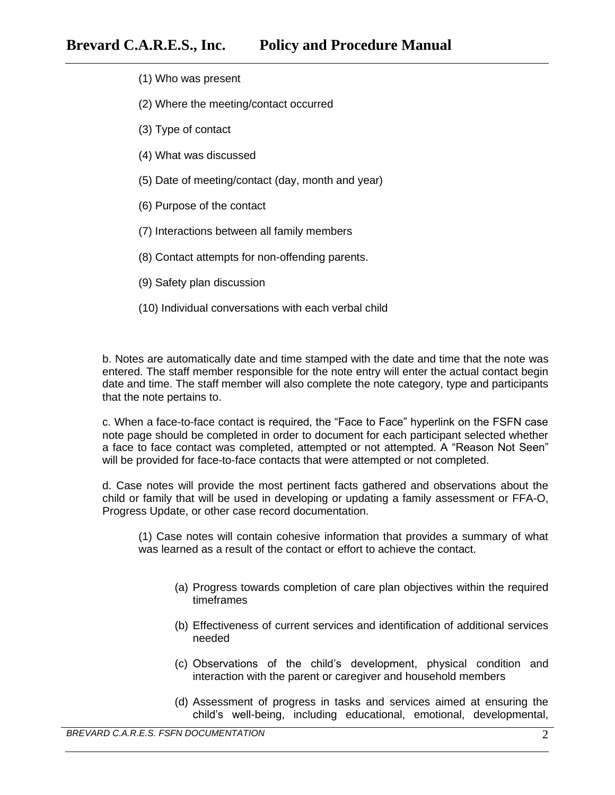- (1) Who was present
- (2) Where the meeting/contact occurred
- (3) Type of contact
- (4) What was discussed
- (5) Date of meeting/contact (day, month and year)
- (6) Purpose of the contact
- (7) Interactions between all family members
- (8) Contact attempts for non-offending parents.
- (9) Safety plan discussion
- (10) Individual conversations with each verbal child

b. Notes are automatically date and time stamped with the date and time that the note was entered. The staff member responsible for the note entry will enter the actual contact begin date and time. The staff member will also complete the note category, type and participants that the note pertains to.

c. When a face-to-face contact is required, the "Face to Face" hyperlink on the FSFN case note page should be completed in order to document for each participant selected whether a face to face contact was completed, attempted or not attempted. A "Reason Not Seen" will be provided for face-to-face contacts that were attempted or not completed.

d. Case notes will provide the most pertinent facts gathered and observations about the child or family that will be used in developing or updating a family assessment or FFA-O, Progress Update, or other case record documentation.

(1) Case notes will contain cohesive information that provides a summary of what was learned as a result of the contact or effort to achieve the contact.

- (a) Progress towards completion of care plan objectives within the required timeframes
- (b) Effectiveness of current services and identification of additional services needed
- (c) Observations of the child's development, physical condition and interaction with the parent or caregiver and household members
- (d) Assessment of progress in tasks and services aimed at ensuring the child's well-being, including educational, emotional, developmental,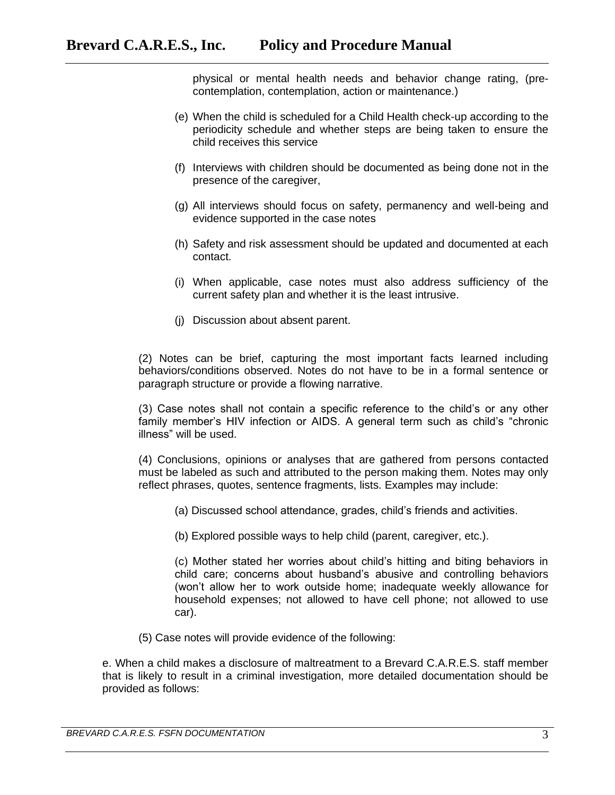physical or mental health needs and behavior change rating, (precontemplation, contemplation, action or maintenance.)

- (e) When the child is scheduled for a Child Health check-up according to the periodicity schedule and whether steps are being taken to ensure the child receives this service
- (f) Interviews with children should be documented as being done not in the presence of the caregiver,
- (g) All interviews should focus on safety, permanency and well-being and evidence supported in the case notes
- (h) Safety and risk assessment should be updated and documented at each contact.
- (i) When applicable, case notes must also address sufficiency of the current safety plan and whether it is the least intrusive.
- (j) Discussion about absent parent.

(2) Notes can be brief, capturing the most important facts learned including behaviors/conditions observed. Notes do not have to be in a formal sentence or paragraph structure or provide a flowing narrative.

(3) Case notes shall not contain a specific reference to the child's or any other family member's HIV infection or AIDS. A general term such as child's "chronic illness" will be used.

(4) Conclusions, opinions or analyses that are gathered from persons contacted must be labeled as such and attributed to the person making them. Notes may only reflect phrases, quotes, sentence fragments, lists. Examples may include:

- (a) Discussed school attendance, grades, child's friends and activities.
- (b) Explored possible ways to help child (parent, caregiver, etc.).

(c) Mother stated her worries about child's hitting and biting behaviors in child care; concerns about husband's abusive and controlling behaviors (won't allow her to work outside home; inadequate weekly allowance for household expenses; not allowed to have cell phone; not allowed to use car).

(5) Case notes will provide evidence of the following:

e. When a child makes a disclosure of maltreatment to a Brevard C.A.R.E.S. staff member that is likely to result in a criminal investigation, more detailed documentation should be provided as follows: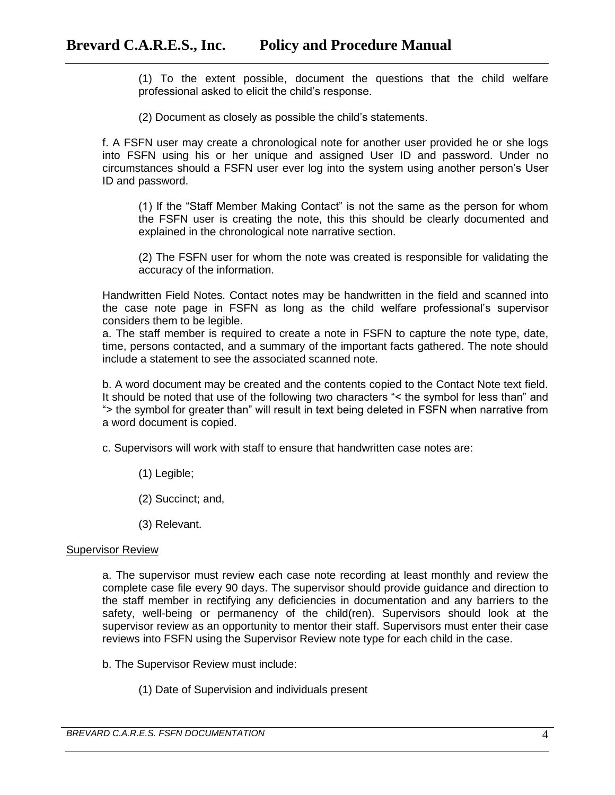(1) To the extent possible, document the questions that the child welfare professional asked to elicit the child's response.

(2) Document as closely as possible the child's statements.

f. A FSFN user may create a chronological note for another user provided he or she logs into FSFN using his or her unique and assigned User ID and password. Under no circumstances should a FSFN user ever log into the system using another person's User ID and password.

(1) If the "Staff Member Making Contact" is not the same as the person for whom the FSFN user is creating the note, this this should be clearly documented and explained in the chronological note narrative section.

(2) The FSFN user for whom the note was created is responsible for validating the accuracy of the information.

Handwritten Field Notes. Contact notes may be handwritten in the field and scanned into the case note page in FSFN as long as the child welfare professional's supervisor considers them to be legible.

a. The staff member is required to create a note in FSFN to capture the note type, date, time, persons contacted, and a summary of the important facts gathered. The note should include a statement to see the associated scanned note.

b. A word document may be created and the contents copied to the Contact Note text field. It should be noted that use of the following two characters "< the symbol for less than" and "> the symbol for greater than" will result in text being deleted in FSFN when narrative from a word document is copied.

- c. Supervisors will work with staff to ensure that handwritten case notes are:
	- (1) Legible;
	- (2) Succinct; and,
	- (3) Relevant.

#### Supervisor Review

a. The supervisor must review each case note recording at least monthly and review the complete case file every 90 days. The supervisor should provide guidance and direction to the staff member in rectifying any deficiencies in documentation and any barriers to the safety, well-being or permanency of the child(ren). Supervisors should look at the supervisor review as an opportunity to mentor their staff. Supervisors must enter their case reviews into FSFN using the Supervisor Review note type for each child in the case.

- b. The Supervisor Review must include:
	- (1) Date of Supervision and individuals present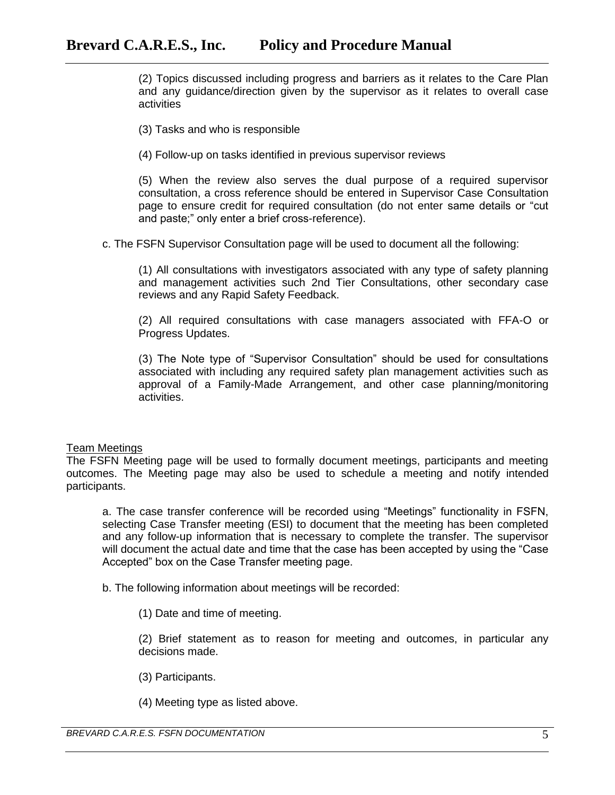(2) Topics discussed including progress and barriers as it relates to the Care Plan and any guidance/direction given by the supervisor as it relates to overall case activities

- (3) Tasks and who is responsible
- (4) Follow-up on tasks identified in previous supervisor reviews

(5) When the review also serves the dual purpose of a required supervisor consultation, a cross reference should be entered in Supervisor Case Consultation page to ensure credit for required consultation (do not enter same details or "cut and paste;" only enter a brief cross-reference).

c. The FSFN Supervisor Consultation page will be used to document all the following:

(1) All consultations with investigators associated with any type of safety planning and management activities such 2nd Tier Consultations, other secondary case reviews and any Rapid Safety Feedback.

(2) All required consultations with case managers associated with FFA-O or Progress Updates.

(3) The Note type of "Supervisor Consultation" should be used for consultations associated with including any required safety plan management activities such as approval of a Family-Made Arrangement, and other case planning/monitoring activities.

#### Team Meetings

The FSFN Meeting page will be used to formally document meetings, participants and meeting outcomes. The Meeting page may also be used to schedule a meeting and notify intended participants.

a. The case transfer conference will be recorded using "Meetings" functionality in FSFN, selecting Case Transfer meeting (ESI) to document that the meeting has been completed and any follow-up information that is necessary to complete the transfer. The supervisor will document the actual date and time that the case has been accepted by using the "Case Accepted" box on the Case Transfer meeting page.

b. The following information about meetings will be recorded:

(1) Date and time of meeting.

(2) Brief statement as to reason for meeting and outcomes, in particular any decisions made.

- (3) Participants.
- (4) Meeting type as listed above.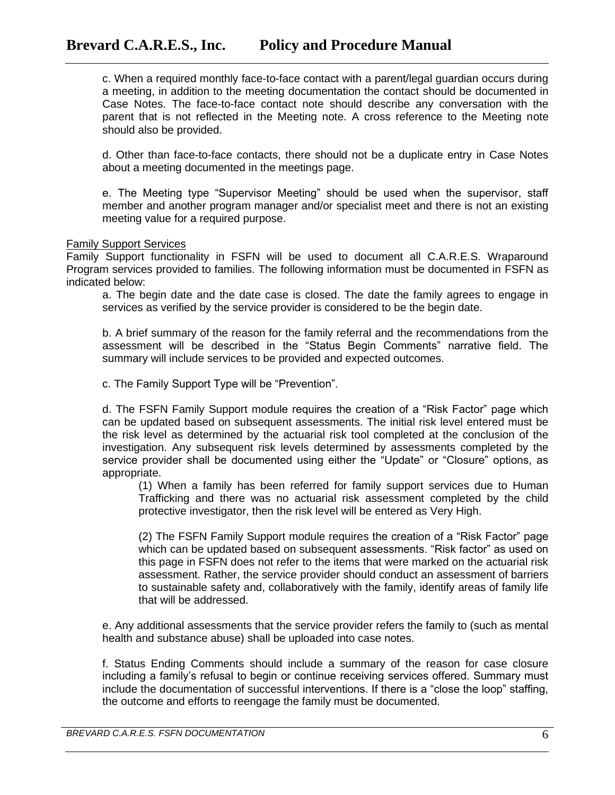c. When a required monthly face-to-face contact with a parent/legal guardian occurs during a meeting, in addition to the meeting documentation the contact should be documented in Case Notes. The face-to-face contact note should describe any conversation with the parent that is not reflected in the Meeting note. A cross reference to the Meeting note should also be provided.

d. Other than face-to-face contacts, there should not be a duplicate entry in Case Notes about a meeting documented in the meetings page.

e. The Meeting type "Supervisor Meeting" should be used when the supervisor, staff member and another program manager and/or specialist meet and there is not an existing meeting value for a required purpose.

#### Family Support Services

Family Support functionality in FSFN will be used to document all C.A.R.E.S. Wraparound Program services provided to families. The following information must be documented in FSFN as indicated below:

a. The begin date and the date case is closed. The date the family agrees to engage in services as verified by the service provider is considered to be the begin date.

b. A brief summary of the reason for the family referral and the recommendations from the assessment will be described in the "Status Begin Comments" narrative field. The summary will include services to be provided and expected outcomes.

c. The Family Support Type will be "Prevention".

d. The FSFN Family Support module requires the creation of a "Risk Factor" page which can be updated based on subsequent assessments. The initial risk level entered must be the risk level as determined by the actuarial risk tool completed at the conclusion of the investigation. Any subsequent risk levels determined by assessments completed by the service provider shall be documented using either the "Update" or "Closure" options, as appropriate.

(1) When a family has been referred for family support services due to Human Trafficking and there was no actuarial risk assessment completed by the child protective investigator, then the risk level will be entered as Very High.

(2) The FSFN Family Support module requires the creation of a "Risk Factor" page which can be updated based on subsequent assessments. "Risk factor" as used on this page in FSFN does not refer to the items that were marked on the actuarial risk assessment. Rather, the service provider should conduct an assessment of barriers to sustainable safety and, collaboratively with the family, identify areas of family life that will be addressed.

e. Any additional assessments that the service provider refers the family to (such as mental health and substance abuse) shall be uploaded into case notes.

f. Status Ending Comments should include a summary of the reason for case closure including a family's refusal to begin or continue receiving services offered. Summary must include the documentation of successful interventions. If there is a "close the loop" staffing, the outcome and efforts to reengage the family must be documented.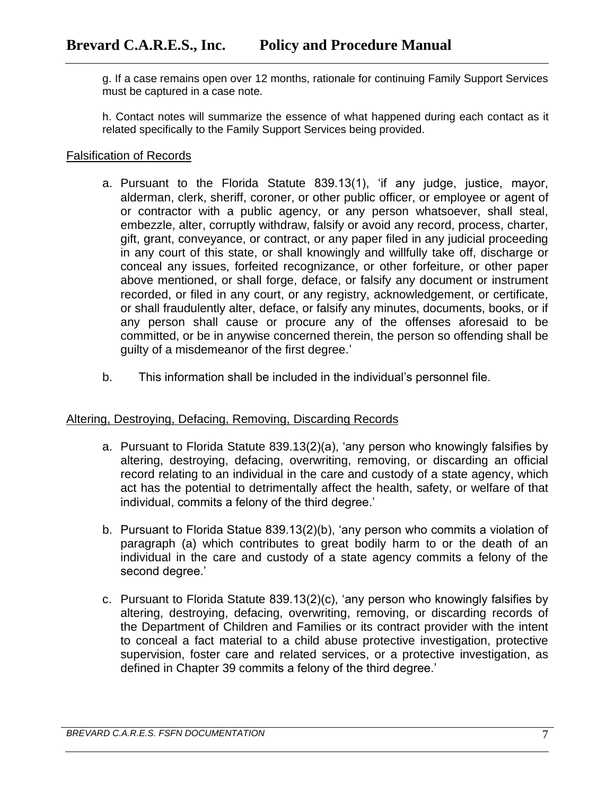g. If a case remains open over 12 months, rationale for continuing Family Support Services must be captured in a case note.

h. Contact notes will summarize the essence of what happened during each contact as it related specifically to the Family Support Services being provided.

## Falsification of Records

- a. Pursuant to the Florida Statute 839.13(1), 'if any judge, justice, mayor, alderman, clerk, sheriff, coroner, or other public officer, or employee or agent of or contractor with a public agency, or any person whatsoever, shall steal, embezzle, alter, corruptly withdraw, falsify or avoid any record, process, charter, gift, grant, conveyance, or contract, or any paper filed in any judicial proceeding in any court of this state, or shall knowingly and willfully take off, discharge or conceal any issues, forfeited recognizance, or other forfeiture, or other paper above mentioned, or shall forge, deface, or falsify any document or instrument recorded, or filed in any court, or any registry, acknowledgement, or certificate, or shall fraudulently alter, deface, or falsify any minutes, documents, books, or if any person shall cause or procure any of the offenses aforesaid to be committed, or be in anywise concerned therein, the person so offending shall be guilty of a misdemeanor of the first degree.'
- b. This information shall be included in the individual's personnel file.

## Altering, Destroying, Defacing, Removing, Discarding Records

- a. Pursuant to Florida Statute 839.13(2)(a), 'any person who knowingly falsifies by altering, destroying, defacing, overwriting, removing, or discarding an official record relating to an individual in the care and custody of a state agency, which act has the potential to detrimentally affect the health, safety, or welfare of that individual, commits a felony of the third degree.'
- b. Pursuant to Florida Statue 839.13(2)(b), 'any person who commits a violation of paragraph (a) which contributes to great bodily harm to or the death of an individual in the care and custody of a state agency commits a felony of the second degree.'
- c. Pursuant to Florida Statute 839.13(2)(c), 'any person who knowingly falsifies by altering, destroying, defacing, overwriting, removing, or discarding records of the Department of Children and Families or its contract provider with the intent to conceal a fact material to a child abuse protective investigation, protective supervision, foster care and related services, or a protective investigation, as defined in Chapter 39 commits a felony of the third degree.'